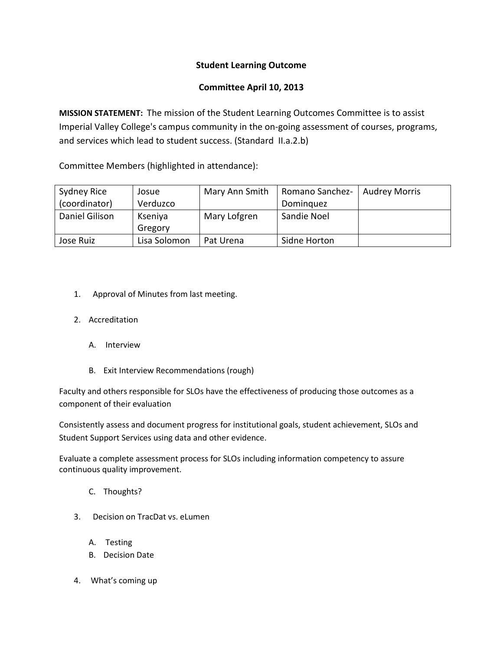## **Student Learning Outcome**

## **Committee April 10, 2013**

**MISSION STATEMENT:** The mission of the Student Learning Outcomes Committee is to assist Imperial Valley College's campus community in the on-going assessment of courses, programs, and services which lead to student success. (Standard II.a.2.b)

Committee Members (highlighted in attendance):

| Sydney Rice    | Josue        | Mary Ann Smith | Romano Sanchez- | <b>Audrey Morris</b> |
|----------------|--------------|----------------|-----------------|----------------------|
| (coordinator)  | Verduzco     |                | Dominguez       |                      |
| Daniel Gilison | Kseniya      | Mary Lofgren   | Sandie Noel     |                      |
|                | Gregory      |                |                 |                      |
| Jose Ruiz      | Lisa Solomon | Pat Urena      | Sidne Horton    |                      |

- 1. Approval of Minutes from last meeting.
- 2. Accreditation
	- A. Interview
	- B. Exit Interview Recommendations (rough)

Faculty and others responsible for SLOs have the effectiveness of producing those outcomes as a component of their evaluation

Consistently assess and document progress for institutional goals, student achievement, SLOs and Student Support Services using data and other evidence.

Evaluate a complete assessment process for SLOs including information competency to assure continuous quality improvement.

- C. Thoughts?
- 3. Decision on TracDat vs. eLumen
	- A. Testing
	- B. Decision Date
- 4. What's coming up